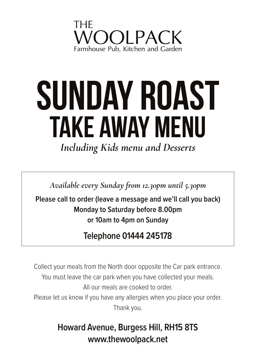

# **take away menu sunday roast**

*Including Kids menu and Desserts*

*Available every Sunday from 12.30pm until 5.30pm*

**Please call to order (leave a message and we'll call you back) Monday to Saturday before 8.00pm or 10am to 4pm on Sunday**

#### **Telephone 01444 245178**

Collect your meals from the North door opposite the Car park entrance. You must leave the car park when you have collected your meals. All our meals are cooked to order. Please let us know if you have any allergies when you place your order.

Thank you.

#### **Howard Avenue, Burgess Hill, RH15 8TS www.thewoolpack.net**